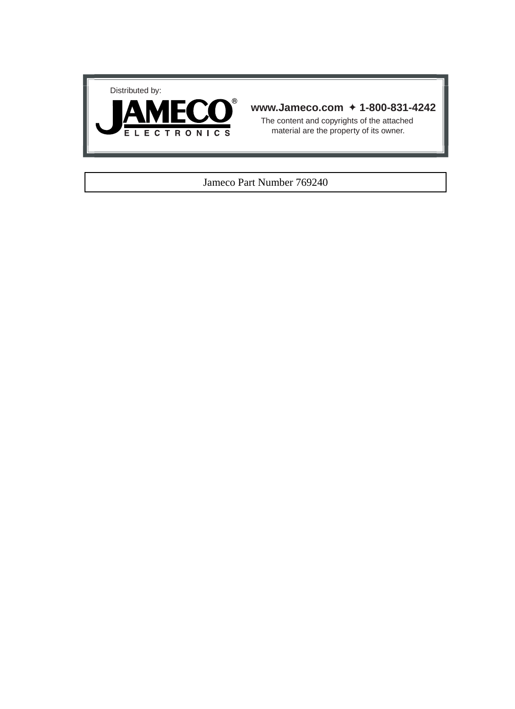



# **www.Jameco.com** ✦ **1-800-831-4242**

The content and copyrights of the attached material are the property of its owner.

## Jameco Part Number 769240